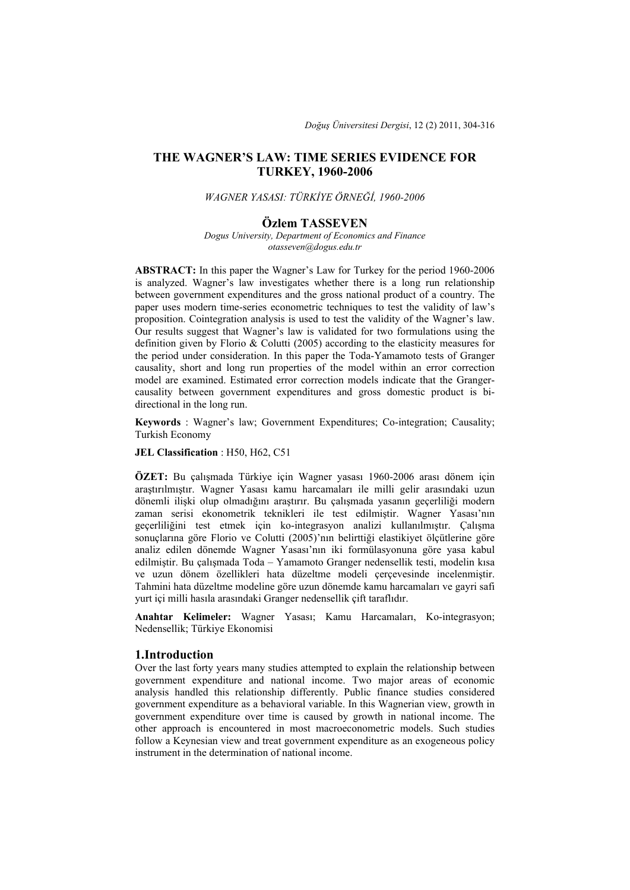# **THE WAGNER'S LAW: TIME SERIES EVIDENCE FOR TURKEY, 1960-2006**

### *WAGNER YASASI: TÜRKİYE ÖRNEĞİ, 1960-2006*

### **Özlem TASSEVEN**

*Dogus University, Department of Economics and Finance otasseven@dogus.edu.tr* 

**ABSTRACT:** In this paper the Wagner's Law for Turkey for the period 1960-2006 is analyzed. Wagner's law investigates whether there is a long run relationship between government expenditures and the gross national product of a country. The paper uses modern time-series econometric techniques to test the validity of law's proposition. Cointegration analysis is used to test the validity of the Wagner's law. Our results suggest that Wagner's law is validated for two formulations using the definition given by Florio & Colutti (2005) according to the elasticity measures for the period under consideration. In this paper the Toda-Yamamoto tests of Granger causality, short and long run properties of the model within an error correction model are examined. Estimated error correction models indicate that the Grangercausality between government expenditures and gross domestic product is bidirectional in the long run.

**Keywords** : Wagner's law; Government Expenditures; Co-integration; Causality; Turkish Economy

## **JEL Classification** : H50, H62, C51

**ÖZET:** Bu çalışmada Türkiye için Wagner yasası 1960-2006 arası dönem için araştırılmıştır. Wagner Yasası kamu harcamaları ile milli gelir arasındaki uzun dönemli ilişki olup olmadığını araştırır. Bu çalışmada yasanın geçerliliği modern zaman serisi ekonometrik teknikleri ile test edilmiştir. Wagner Yasası'nın geçerliliğini test etmek için ko-integrasyon analizi kullanılmıştır. Çalışma sonuçlarına göre Florio ve Colutti (2005)'nın belirttiği elastikiyet ölçütlerine göre analiz edilen dönemde Wagner Yasası'nın iki formülasyonuna göre yasa kabul edilmiştir. Bu çalışmada Toda – Yamamoto Granger nedensellik testi, modelin kısa ve uzun dönem özellikleri hata düzeltme modeli çerçevesinde incelenmiştir. Tahmini hata düzeltme modeline göre uzun dönemde kamu harcamaları ve gayri safi yurt içi milli hasıla arasındaki Granger nedensellik çift taraflıdır.

**Anahtar Kelimeler:** Wagner Yasası; Kamu Harcamaları, Ko-integrasyon; Nedensellik; Türkiye Ekonomisi

### **1.Introduction**

Over the last forty years many studies attempted to explain the relationship between government expenditure and national income. Two major areas of economic analysis handled this relationship differently. Public finance studies considered government expenditure as a behavioral variable. In this Wagnerian view, growth in government expenditure over time is caused by growth in national income. The other approach is encountered in most macroeconometric models. Such studies follow a Keynesian view and treat government expenditure as an exogeneous policy instrument in the determination of national income.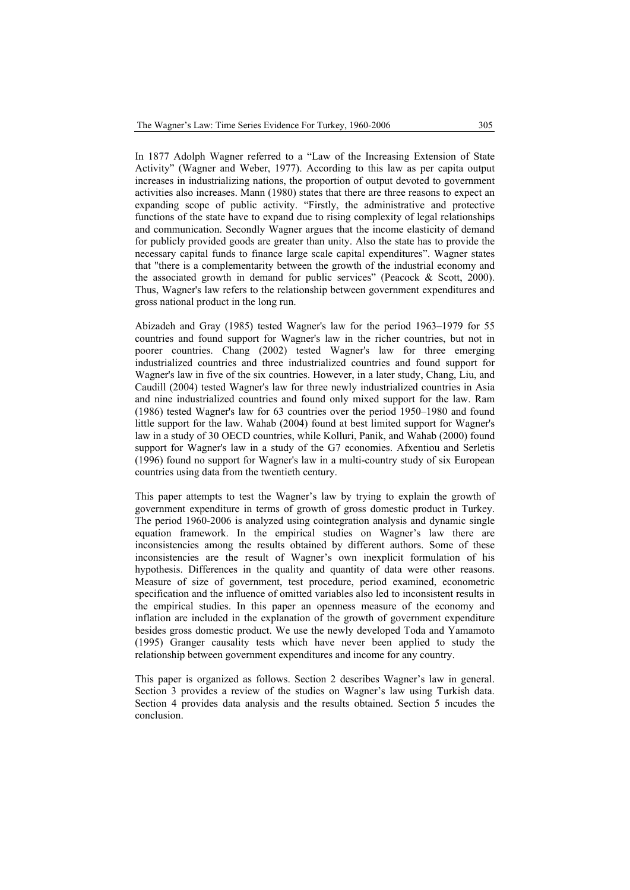In 1877 Adolph Wagner referred to a "Law of the Increasing Extension of State Activity" (Wagner and Weber, 1977). According to this law as per capita output increases in industrializing nations, the proportion of output devoted to government activities also increases. Mann (1980) states that there are three reasons to expect an expanding scope of public activity. "Firstly, the administrative and protective functions of the state have to expand due to rising complexity of legal relationships and communication. Secondly Wagner argues that the income elasticity of demand for publicly provided goods are greater than unity. Also the state has to provide the necessary capital funds to finance large scale capital expenditures". Wagner states that "there is a complementarity between the growth of the industrial economy and the associated growth in demand for public services" (Peacock & Scott, 2000). Thus, Wagner's law refers to the relationship between government expenditures and gross national product in the long run.

Abizadeh and Gray (1985) tested Wagner's law for the period 1963–1979 for 55 countries and found support for Wagner's law in the richer countries, but not in poorer countries. Chang (2002) tested Wagner's law for three emerging industrialized countries and three industrialized countries and found support for Wagner's law in five of the six countries. However, in a later study, Chang, Liu, and Caudill (2004) tested Wagner's law for three newly industrialized countries in Asia and nine industrialized countries and found only mixed support for the law. Ram (1986) tested Wagner's law for 63 countries over the period 1950–1980 and found little support for the law. Wahab (2004) found at best limited support for Wagner's law in a study of 30 OECD countries, while Kolluri, Panik, and Wahab (2000) found support for Wagner's law in a study of the G7 economies. Afxentiou and Serletis (1996) found no support for Wagner's law in a multi-country study of six European countries using data from the twentieth century.

This paper attempts to test the Wagner's law by trying to explain the growth of government expenditure in terms of growth of gross domestic product in Turkey. The period 1960-2006 is analyzed using cointegration analysis and dynamic single equation framework. In the empirical studies on Wagner's law there are inconsistencies among the results obtained by different authors. Some of these inconsistencies are the result of Wagner's own inexplicit formulation of his hypothesis. Differences in the quality and quantity of data were other reasons. Measure of size of government, test procedure, period examined, econometric specification and the influence of omitted variables also led to inconsistent results in the empirical studies. In this paper an openness measure of the economy and inflation are included in the explanation of the growth of government expenditure besides gross domestic product. We use the newly developed Toda and Yamamoto (1995) Granger causality tests which have never been applied to study the relationship between government expenditures and income for any country.

This paper is organized as follows. Section 2 describes Wagner's law in general. Section 3 provides a review of the studies on Wagner's law using Turkish data. Section 4 provides data analysis and the results obtained. Section 5 incudes the conclusion.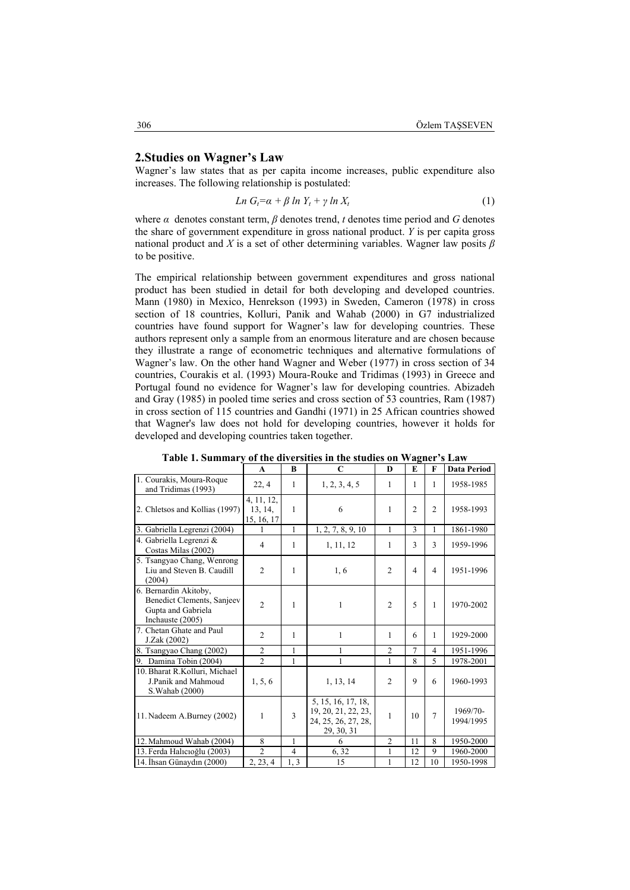## **2.Studies on Wagner's Law**

Wagner's law states that as per capita income increases, public expenditure also increases. The following relationship is postulated:

$$
Ln G_t = \alpha + \beta ln Y_t + \gamma ln X_t \tag{1}
$$

where  $\alpha$  denotes constant term,  $\beta$  denotes trend,  $t$  denotes time period and  $G$  denotes the share of government expenditure in gross national product. *Y* is per capita gross national product and *X* is a set of other determining variables. Wagner law posits *β* to be positive.

The empirical relationship between government expenditures and gross national product has been studied in detail for both developing and developed countries. Mann (1980) in Mexico, Henrekson (1993) in Sweden, Cameron (1978) in cross section of 18 countries, Kolluri, Panik and Wahab (2000) in G7 industrialized countries have found support for Wagner's law for developing countries. These authors represent only a sample from an enormous literature and are chosen because they illustrate a range of econometric techniques and alternative formulations of Wagner's law. On the other hand Wagner and Weber (1977) in cross section of 34 countries, Courakis et al. (1993) Moura-Rouke and Tridimas (1993) in Greece and Portugal found no evidence for Wagner's law for developing countries. Abizadeh and Gray (1985) in pooled time series and cross section of 53 countries, Ram (1987) in cross section of 115 countries and Gandhi (1971) in 25 African countries showed that Wagner's law does not hold for developing countries, however it holds for developed and developing countries taken together.

|                                                                                               | $\mathbf{A}$                        | $\bf{B}$       | $\mathbf C$                                                                    | $\bf{D}$       | E              | $\mathbf{F}$   | <b>Data Period</b>    |
|-----------------------------------------------------------------------------------------------|-------------------------------------|----------------|--------------------------------------------------------------------------------|----------------|----------------|----------------|-----------------------|
| 1. Courakis, Moura-Roque<br>and Tridimas (1993)                                               | 22, 4                               | 1              | 1, 2, 3, 4, 5                                                                  | 1              | 1              | 1              | 1958-1985             |
| 2. Chletsos and Kollias (1997)                                                                | 4, 11, 12,<br>13, 14,<br>15, 16, 17 | 1              | 6                                                                              | 1              | $\mathfrak{D}$ | $\overline{2}$ | 1958-1993             |
| 3. Gabriella Legrenzi (2004)                                                                  | 1                                   | 1              | 1, 2, 7, 8, 9, 10                                                              | 1              | 3              | 1              | 1861-1980             |
| 4. Gabriella Legrenzi &<br>Costas Milas (2002)                                                | $\overline{4}$                      | 1              | 1, 11, 12                                                                      | 1              | 3              | 3              | 1959-1996             |
| 5. Tsangyao Chang, Wenrong<br>Liu and Steven B. Caudill<br>(2004)                             | $\overline{2}$                      | 1              | 1,6                                                                            | $\overline{2}$ | 4              | $\overline{4}$ | 1951-1996             |
| 6. Bernardin Akitoby,<br>Benedict Clements, Sanjeev<br>Gupta and Gabriela<br>Inchauste (2005) | $\overline{c}$                      | 1              | 1                                                                              | $\overline{2}$ | 5              | 1              | 1970-2002             |
| 7. Chetan Ghate and Paul<br>J.Zak (2002)                                                      | $\overline{c}$                      | 1              | 1                                                                              | 1              | 6              | 1              | 1929-2000             |
| 8. Tsangyao Chang (2002)                                                                      | $\overline{2}$                      | 1              |                                                                                | $\overline{2}$ | 7              | 4              | 1951-1996             |
| 9. Damina Tobin (2004)                                                                        | $\overline{2}$                      | 1              | 1                                                                              | 1              | 8              | 5              | 1978-2001             |
| 10. Bharat R.Kolluri, Michael<br>J.Panik and Mahmoud<br>S. Wahab (2000)                       | 1, 5, 6                             |                | 1, 13, 14                                                                      | $\overline{2}$ | 9              | 6              | 1960-1993             |
| 11. Nadeem A.Burney (2002)                                                                    | 1                                   | 3              | 5, 15, 16, 17, 18,<br>19, 20, 21, 22, 23,<br>24, 25, 26, 27, 28,<br>29, 30, 31 | 1              | 10             | 7              | 1969/70-<br>1994/1995 |
| 12. Mahmoud Wahab (2004)                                                                      | 8                                   | 1              | 6                                                                              | $\overline{2}$ | 11             | 8              | 1950-2000             |
| 13. Ferda Halicioğlu (2003)                                                                   | $\overline{2}$                      | $\overline{4}$ | 6, 32                                                                          | 1              | 12             | 9              | 1960-2000             |
| 14. İhsan Günaydın (2000)                                                                     | $\overline{2}$ , 23, 4              | 1, 3           | 15                                                                             | 1              | 12             | 10             | 1950-1998             |

**Table 1. Summary of the diversities in the studies on Wagner's Law**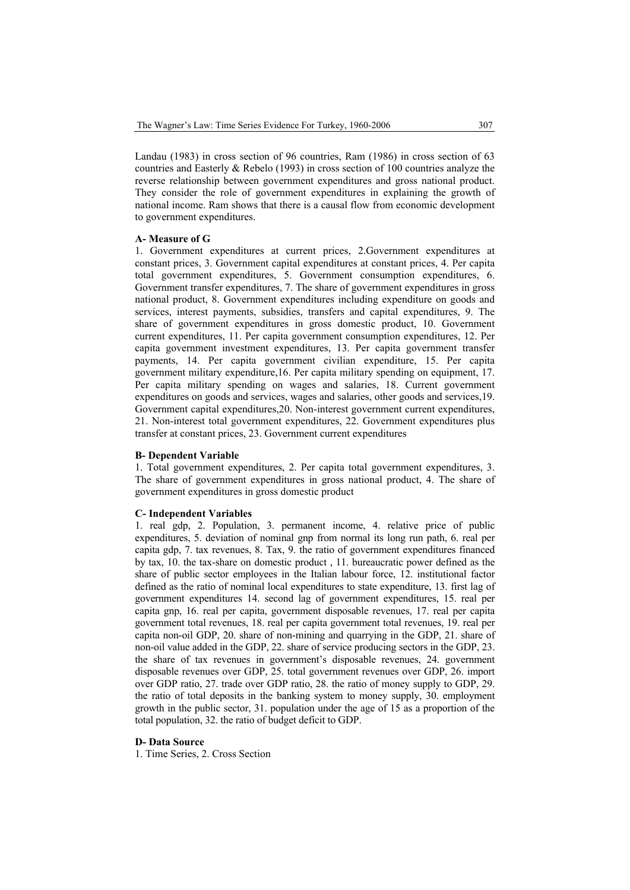Landau (1983) in cross section of 96 countries, Ram (1986) in cross section of 63 countries and Easterly & Rebelo (1993) in cross section of 100 countries analyze the reverse relationship between government expenditures and gross national product. They consider the role of government expenditures in explaining the growth of national income. Ram shows that there is a causal flow from economic development to government expenditures.

#### **A- Measure of G**

1. Government expenditures at current prices, 2.Government expenditures at constant prices, 3. Government capital expenditures at constant prices, 4. Per capita total government expenditures, 5. Government consumption expenditures, 6. Government transfer expenditures, 7. The share of government expenditures in gross national product, 8. Government expenditures including expenditure on goods and services, interest payments, subsidies, transfers and capital expenditures, 9. The share of government expenditures in gross domestic product, 10. Government current expenditures, 11. Per capita government consumption expenditures, 12. Per capita government investment expenditures, 13. Per capita government transfer payments, 14. Per capita government civilian expenditure, 15. Per capita government military expenditure,16. Per capita military spending on equipment, 17. Per capita military spending on wages and salaries, 18. Current government expenditures on goods and services, wages and salaries, other goods and services,19. Government capital expenditures,20. Non-interest government current expenditures, 21. Non-interest total government expenditures, 22. Government expenditures plus transfer at constant prices, 23. Government current expenditures

#### **B- Dependent Variable**

1. Total government expenditures, 2. Per capita total government expenditures, 3. The share of government expenditures in gross national product, 4. The share of government expenditures in gross domestic product

### **C- Independent Variables**

1. real gdp, 2. Population, 3. permanent income, 4. relative price of public expenditures, 5. deviation of nominal gnp from normal its long run path, 6. real per capita gdp, 7. tax revenues, 8. Tax, 9. the ratio of government expenditures financed by tax, 10. the tax-share on domestic product , 11. bureaucratic power defined as the share of public sector employees in the Italian labour force, 12. institutional factor defined as the ratio of nominal local expenditures to state expenditure, 13. first lag of government expenditures 14. second lag of government expenditures, 15. real per capita gnp, 16. real per capita, government disposable revenues, 17. real per capita government total revenues, 18. real per capita government total revenues, 19. real per capita non-oil GDP, 20. share of non-mining and quarrying in the GDP, 21. share of non-oil value added in the GDP, 22. share of service producing sectors in the GDP, 23. the share of tax revenues in government's disposable revenues, 24. government disposable revenues over GDP, 25. total government revenues over GDP, 26. import over GDP ratio, 27. trade over GDP ratio, 28. the ratio of money supply to GDP, 29. the ratio of total deposits in the banking system to money supply, 30. employment growth in the public sector, 31. population under the age of 15 as a proportion of the total population, 32. the ratio of budget deficit to GDP.

#### **D- Data Source**

1. Time Series, 2. Cross Section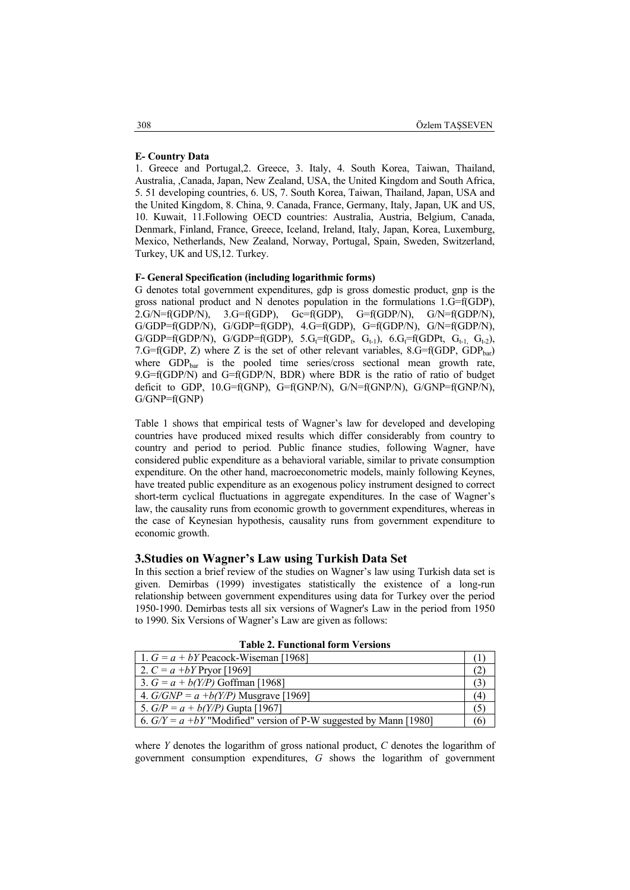#### **E- Country Data**

1. Greece and Portugal,2. Greece, 3. Italy, 4. South Korea, Taiwan, Thailand, Australia, ,Canada, Japan, New Zealand, USA, the United Kingdom and South Africa, 5. 51 developing countries, 6. US, 7. South Korea, Taiwan, Thailand, Japan, USA and the United Kingdom, 8. China, 9. Canada, France, Germany, Italy, Japan, UK and US, 10. Kuwait, 11.Following OECD countries: Australia, Austria, Belgium, Canada, Denmark, Finland, France, Greece, Iceland, Ireland, Italy, Japan, Korea, Luxemburg, Mexico, Netherlands, New Zealand, Norway, Portugal, Spain, Sweden, Switzerland, Turkey, UK and US,12. Turkey.

#### **F- General Specification (including logarithmic forms)**

G denotes total government expenditures, gdp is gross domestic product, gnp is the gross national product and N denotes population in the formulations 1.G=f(GDP),  $2.G/N=f(GDP/N)$ ,  $3.G=f(GDP)$ ,  $G=f(GDP)$ ,  $G=f(GDP/N)$ ,  $G/N=f(GDP/N)$ , G/GDP=f(GDP/N), G/GDP=f(GDP), 4.G=f(GDP), G=f(GDP/N), G/N=f(GDP/N),  $G/GDP=f(GDP/N)$ ,  $G/GDP=f(GDP)$ ,  $5.G_t=f(GDP_t, G_{t-1})$ ,  $6.G_t=f(GDPt, G_{t-1}, G_{t-2})$ , 7.G=f(GDP, Z) where Z is the set of other relevant variables,  $8.G=f(GDP, GDP_{bar})$ where GDP<sub>bar</sub> is the pooled time series/cross sectional mean growth rate, 9.G=f(GDP/N) and G=f(GDP/N, BDR) where BDR is the ratio of ratio of budget deficit to GDP,  $10.G=f(GNP)$ ,  $G=f(GNP/N)$ ,  $G/N=f(GNP/N)$ ,  $G/GNP=f(GNP/N)$ , G/GNP=f(GNP)

Table 1 shows that empirical tests of Wagner's law for developed and developing countries have produced mixed results which differ considerably from country to country and period to period. Public finance studies, following Wagner, have considered public expenditure as a behavioral variable, similar to private consumption expenditure. On the other hand, macroeconometric models, mainly following Keynes, have treated public expenditure as an exogenous policy instrument designed to correct short-term cyclical fluctuations in aggregate expenditures. In the case of Wagner's law, the causality runs from economic growth to government expenditures, whereas in the case of Keynesian hypothesis, causality runs from government expenditure to economic growth.

### **3.Studies on Wagner's Law using Turkish Data Set**

In this section a brief review of the studies on Wagner's law using Turkish data set is given. Demirbas (1999) investigates statistically the existence of a long-run relationship between government expenditures using data for Turkey over the period 1950-1990. Demirbas tests all six versions of Wagner's Law in the period from 1950 to 1990. Six Versions of Wagner's Law are given as follows:

| 1. $G = a + bY$ Peacock-Wiseman [1968]  |   |
|-----------------------------------------|---|
| 2. $C = a + bY$ Pryor [1969]            |   |
| 3. $G = a + b(Y/P)$ Goffman [1968]      |   |
| 4. $G/GNP = a + b(Y/P)$ Musgrave [1969] | 4 |
| 5. $G/P = a + b(Y/P)$ Gupta [1967]      |   |

6.  $G/Y = a + bY$  "Modified" version of P-W suggested by Mann [1980] (6)

**Table 2. Functional form Versions** 

where *Y* denotes the logarithm of gross national product, *C* denotes the logarithm of government consumption expenditures, *G* shows the logarithm of government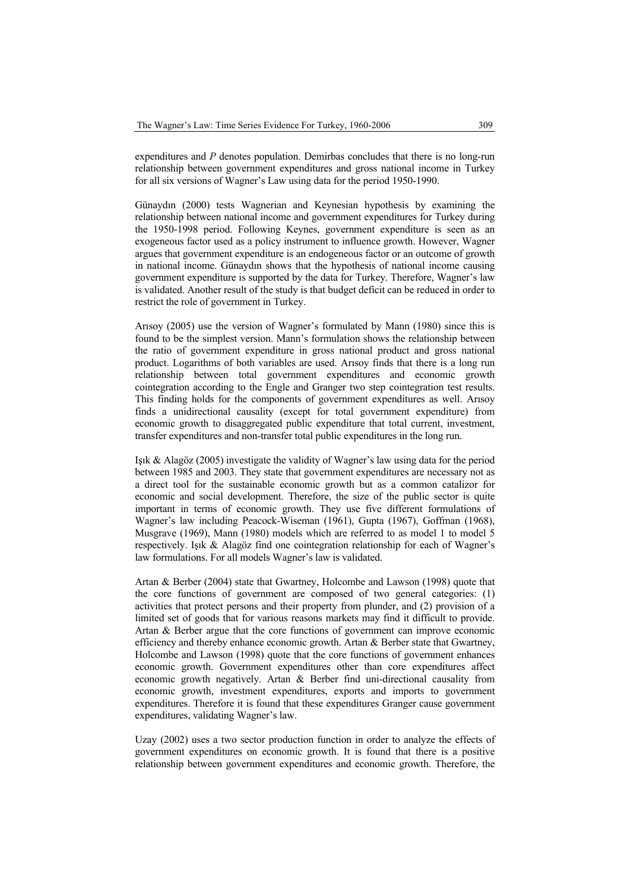expenditures and *P* denotes population. Demirbas concludes that there is no long-run relationship between government expenditures and gross national income in Turkey for all six versions of Wagner's Law using data for the period 1950-1990.

Günaydın (2000) tests Wagnerian and Keynesian hypothesis by examining the relationship between national income and government expenditures for Turkey during the 1950-1998 period. Following Keynes, government expenditure is seen as an exogeneous factor used as a policy instrument to influence growth. However, Wagner argues that government expenditure is an endogeneous factor or an outcome of growth in national income. Günaydın shows that the hypothesis of national income causing government expenditure is supported by the data for Turkey. Therefore, Wagner's law is validated. Another result of the study is that budget deficit can be reduced in order to restrict the role of government in Turkey.

Arısoy (2005) use the version of Wagner's formulated by Mann (1980) since this is found to be the simplest version. Mann's formulation shows the relationship between the ratio of government expenditure in gross national product and gross national product. Logarithms of both variables are used. Arısoy finds that there is a long run relationship between total government expenditures and economic growth cointegration according to the Engle and Granger two step cointegration test results. This finding holds for the components of government expenditures as well. Arısoy finds a unidirectional causality (except for total government expenditure) from economic growth to disaggregated public expenditure that total current, investment, transfer expenditures and non-transfer total public expenditures in the long run.

Işık & Alagöz (2005) investigate the validity of Wagner's law using data for the period between 1985 and 2003. They state that government expenditures are necessary not as a direct tool for the sustainable economic growth but as a common catalizor for economic and social development. Therefore, the size of the public sector is quite important in terms of economic growth. They use five different formulations of Wagner's law including Peacock-Wiseman (1961), Gupta (1967), Goffman (1968), Musgrave (1969), Mann (1980) models which are referred to as model 1 to model 5 respectively. Işık & Alagöz find one cointegration relationship for each of Wagner's law formulations. For all models Wagner's law is validated.

Artan & Berber (2004) state that Gwartney, Holcombe and Lawson (1998) quote that the core functions of government are composed of two general categories: (1) activities that protect persons and their property from plunder, and (2) provision of a limited set of goods that for various reasons markets may find it difficult to provide. Artan & Berber argue that the core functions of government can improve economic efficiency and thereby enhance economic growth. Artan & Berber state that Gwartney, Holcombe and Lawson (1998) quote that the core functions of government enhances economic growth. Government expenditures other than core expenditures affect economic growth negatively. Artan & Berber find uni-directional causality from economic growth, investment expenditures, exports and imports to government expenditures. Therefore it is found that these expenditures Granger cause government expenditures, validating Wagner's law.

Uzay (2002) uses a two sector production function in order to analyze the effects of government expenditures on economic growth. It is found that there is a positive relationship between government expenditures and economic growth. Therefore, the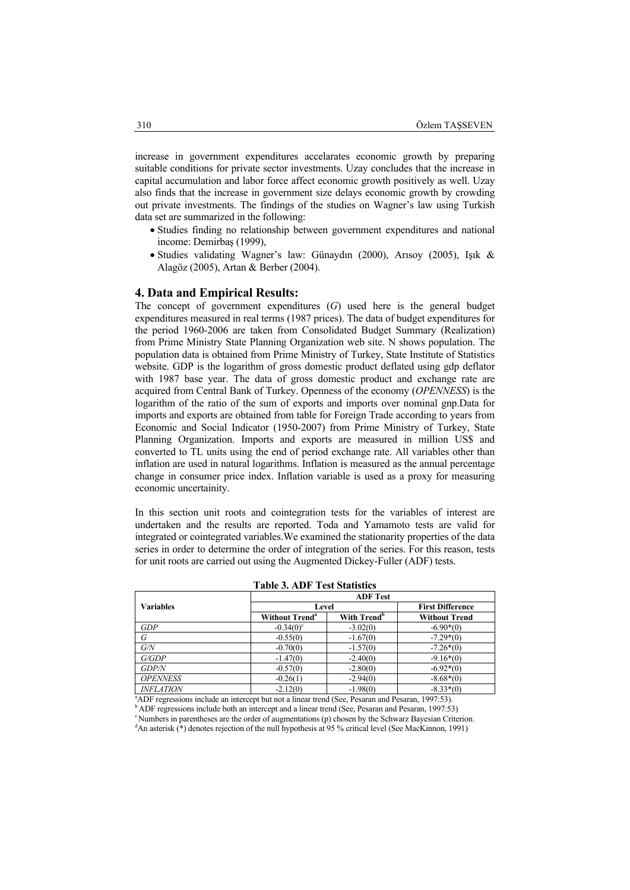increase in government expenditures accelarates economic growth by preparing suitable conditions for private sector investments. Uzay concludes that the increase in capital accumulation and labor force affect economic growth positively as well. Uzay also finds that the increase in government size delays economic growth by crowding out private investments. The findings of the studies on Wagner's law using Turkish data set are summarized in the following:

- Studies finding no relationship between government expenditures and national income: Demirbaş (1999),
- Studies validating Wagner's law: Günaydın (2000), Arısoy (2005), Işık & Alagöz (2005), Artan & Berber (2004).

### **4. Data and Empirical Results:**

The concept of government expenditures (*G*) used here is the general budget expenditures measured in real terms (1987 prices). The data of budget expenditures for the period 1960-2006 are taken from Consolidated Budget Summary (Realization) from Prime Ministry State Planning Organization web site. N shows population. The population data is obtained from Prime Ministry of Turkey, State Institute of Statistics website. GDP is the logarithm of gross domestic product deflated using gdp deflator with 1987 base year. The data of gross domestic product and exchange rate are acquired from Central Bank of Turkey. Openness of the economy (*OPENNESS*) is the logarithm of the ratio of the sum of exports and imports over nominal gnp.Data for imports and exports are obtained from table for Foreign Trade according to years from Economic and Social Indicator (1950-2007) from Prime Ministry of Turkey, State Planning Organization. Imports and exports are measured in million US\$ and converted to TL units using the end of period exchange rate. All variables other than inflation are used in natural logarithms. Inflation is measured as the annual percentage change in consumer price index. Inflation variable is used as a proxy for measuring economic uncertainity.

In this section unit roots and cointegration tests for the variables of interest are undertaken and the results are reported. Toda and Yamamoto tests are valid for integrated or cointegrated variables.We examined the stationarity properties of the data series in order to determine the order of integration of the series. For this reason, tests for unit roots are carried out using the Augmented Dickey-Fuller (ADF) tests.

|                   | <b>ADF</b> Test                  |                         |                      |  |  |  |
|-------------------|----------------------------------|-------------------------|----------------------|--|--|--|
| <b>Variables</b>  | Level                            | <b>First Difference</b> |                      |  |  |  |
|                   | <b>Without Trend<sup>a</sup></b> | With Trend <sup>b</sup> | <b>Without Trend</b> |  |  |  |
| GDP               | $-0.34(0)^{\circ}$               | $-3.02(0)$              | $-6.90*(0)$          |  |  |  |
| G                 | $-0.55(0)$                       | $-1.67(0)$              | $-7.29*(0)$          |  |  |  |
| G/N               | $-0.70(0)$                       | $-1.57(0)$              | $-7.26*(0)$          |  |  |  |
| G/GDP             | $-1.47(0)$                       | $-2.40(0)$              | $-9.16*(0)$          |  |  |  |
| <b>GDP/N</b>      | $-0.57(0)$                       | $-2.80(0)$              | $-6.92*(0)$          |  |  |  |
| <b>OPENNESS</b>   | $-0.26(1)$                       | $-2.94(0)$              | $-8.68*(0)$          |  |  |  |
| <b>INEI ATION</b> | $-2.12(0)$                       | $-1.98(0)$              | $-8.33*(0)$          |  |  |  |

**Table 3. ADF Test Statistics** 

<sup>a</sup>ADF regressions include an intercept but not a linear trend (See, Pesaran and Pesaran, 1997:53).

 $\text{ADF}$  regressions include both an intercept and a linear trend (See, Pesaran and Pesaran, 1997:53)<br>
"Numbers in parentheses are the order of augmentations (n) chosen by the Schwarz Bayesian Criterion

<sup>d</sup>An asterisk (\*) denotes rejection of the null hypothesis at 95 % critical level (See MacKinnon, 1991)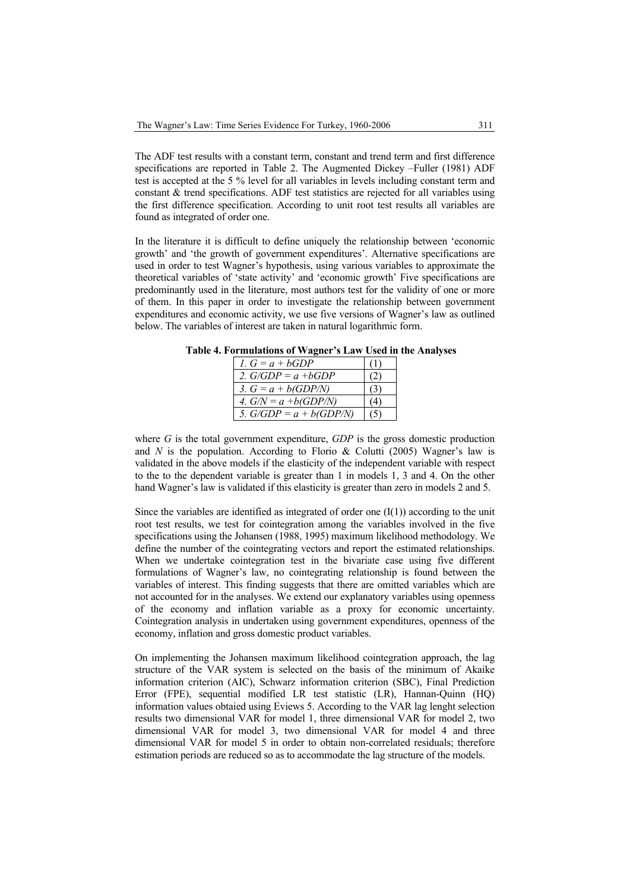The ADF test results with a constant term, constant and trend term and first difference specifications are reported in Table 2. The Augmented Dickey –Fuller (1981) ADF test is accepted at the 5 % level for all variables in levels including constant term and constant & trend specifications. ADF test statistics are rejected for all variables using the first difference specification. According to unit root test results all variables are found as integrated of order one.

In the literature it is difficult to define uniquely the relationship between 'economic growth' and 'the growth of government expenditures'. Alternative specifications are used in order to test Wagner's hypothesis, using various variables to approximate the theoretical variables of 'state activity' and 'economic growth' Five specifications are predominantly used in the literature, most authors test for the validity of one or more of them. In this paper in order to investigate the relationship between government expenditures and economic activity, we use five versions of Wagner's law as outlined below. The variables of interest are taken in natural logarithmic form.

**Table 4. Formulations of Wagner's Law Used in the Analyses** 

| 1. $G = a + bGDP$         |  |
|---------------------------|--|
| 2. $G/GDP = a + bGDP$     |  |
| 3. $G = a + b(GDP/N)$     |  |
| 4. $G/N = a + b(GDP/N)$   |  |
| 5. $G/GDP = a + b(GDP/N)$ |  |

where *G* is the total government expenditure, *GDP* is the gross domestic production and *N* is the population. According to Florio & Colutti (2005) Wagner's law is validated in the above models if the elasticity of the independent variable with respect to the to the dependent variable is greater than 1 in models 1, 3 and 4. On the other hand Wagner's law is validated if this elasticity is greater than zero in models 2 and 5.

Since the variables are identified as integrated of order one  $(I(1))$  according to the unit root test results, we test for cointegration among the variables involved in the five specifications using the Johansen (1988, 1995) maximum likelihood methodology. We define the number of the cointegrating vectors and report the estimated relationships. When we undertake cointegration test in the bivariate case using five different formulations of Wagner's law, no cointegrating relationship is found between the variables of interest. This finding suggests that there are omitted variables which are not accounted for in the analyses. We extend our explanatory variables using openness of the economy and inflation variable as a proxy for economic uncertainty. Cointegration analysis in undertaken using government expenditures, openness of the economy, inflation and gross domestic product variables.

On implementing the Johansen maximum likelihood cointegration approach, the lag structure of the VAR system is selected on the basis of the minimum of Akaike information criterion (AIC), Schwarz information criterion (SBC), Final Prediction Error (FPE), sequential modified LR test statistic (LR), Hannan-Quinn (HQ) information values obtaied using Eviews 5. According to the VAR lag lenght selection results two dimensional VAR for model 1, three dimensional VAR for model 2, two dimensional VAR for model 3, two dimensional VAR for model 4 and three dimensional VAR for model 5 in order to obtain non-correlated residuals; therefore estimation periods are reduced so as to accommodate the lag structure of the models.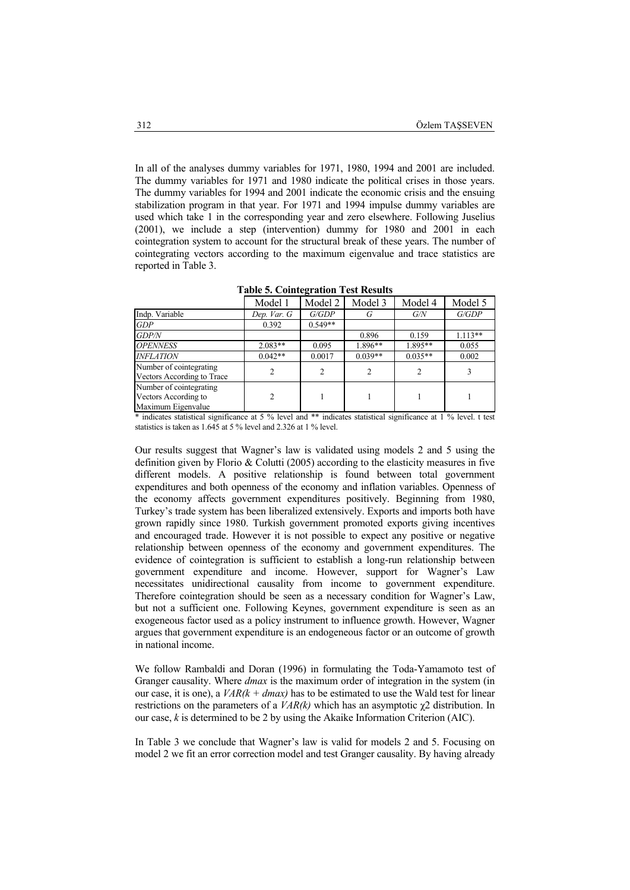In all of the analyses dummy variables for 1971, 1980, 1994 and 2001 are included. The dummy variables for 1971 and 1980 indicate the political crises in those years. The dummy variables for 1994 and 2001 indicate the economic crisis and the ensuing stabilization program in that year. For 1971 and 1994 impulse dummy variables are used which take 1 in the corresponding year and zero elsewhere. Following Juselius (2001), we include a step (intervention) dummy for 1980 and 2001 in each cointegration system to account for the structural break of these years. The number of cointegrating vectors according to the maximum eigenvalue and trace statistics are reported in Table 3.

|                                                                       | Model 1        | Model 2        | Model 3   | Model 4   | Model 5   |
|-----------------------------------------------------------------------|----------------|----------------|-----------|-----------|-----------|
| Indp. Variable                                                        | Dep. Var. G    | G/GDP          | G         | G/N       | G/GDP     |
| GDP                                                                   | 0.392          | $0.549**$      |           |           |           |
| <b>GDP/N</b>                                                          |                |                | 0.896     | 0.159     | $1.113**$ |
| <b>OPENNESS</b>                                                       | $2.083**$      | 0.095          | $1.896**$ | $1.895**$ | 0.055     |
| <b>INFLATION</b>                                                      | $0.042**$      | 0.0017         | $0.039**$ | $0.035**$ | 0.002     |
| Number of cointegrating<br>Vectors According to Trace                 | $\overline{2}$ | $\overline{c}$ |           |           |           |
| Number of cointegrating<br>Vectors According to<br>Maximum Eigenvalue | $\mathfrak{D}$ |                |           |           |           |

**Table 5. Cointegration Test Results** 

\* indicates statistical significance at 5 % level and \*\* indicates statistical significance at 1 % level. t test statistics is taken as 1.645 at 5 % level and 2.326 at 1 % level.

Our results suggest that Wagner's law is validated using models 2 and 5 using the definition given by Florio & Colutti (2005) according to the elasticity measures in five different models. A positive relationship is found between total government expenditures and both openness of the economy and inflation variables. Openness of the economy affects government expenditures positively. Beginning from 1980, Turkey's trade system has been liberalized extensively. Exports and imports both have grown rapidly since 1980. Turkish government promoted exports giving incentives and encouraged trade. However it is not possible to expect any positive or negative relationship between openness of the economy and government expenditures. The evidence of cointegration is sufficient to establish a long-run relationship between government expenditure and income. However, support for Wagner's Law necessitates unidirectional causality from income to government expenditure. Therefore cointegration should be seen as a necessary condition for Wagner's Law, but not a sufficient one. Following Keynes, government expenditure is seen as an exogeneous factor used as a policy instrument to influence growth. However, Wagner argues that government expenditure is an endogeneous factor or an outcome of growth in national income.

We follow Rambaldi and Doran (1996) in formulating the Toda-Yamamoto test of Granger causality. Where *dmax* is the maximum order of integration in the system (in our case, it is one), a  $VAR(k + dmax)$  has to be estimated to use the Wald test for linear restrictions on the parameters of a *VAR(k)* which has an asymptotic χ2 distribution. In our case, *k* is determined to be 2 by using the Akaike Information Criterion (AIC).

In Table 3 we conclude that Wagner's law is valid for models 2 and 5. Focusing on model 2 we fit an error correction model and test Granger causality. By having already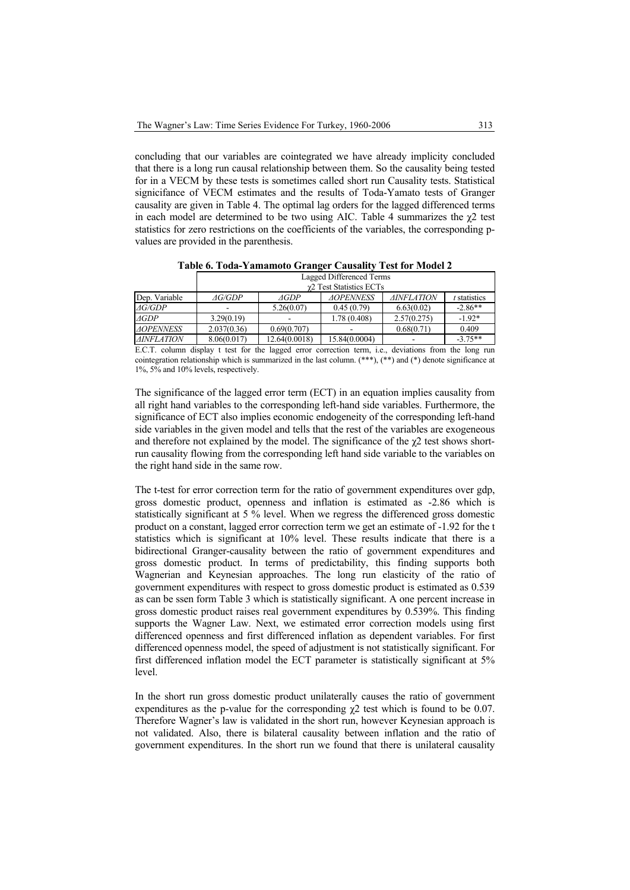concluding that our variables are cointegrated we have already implicity concluded that there is a long run causal relationship between them. So the causality being tested for in a VECM by these tests is sometimes called short run Causality tests. Statistical signicifance of VECM estimates and the results of Toda-Yamato tests of Granger causality are given in Table 4. The optimal lag orders for the lagged differenced terms in each model are determined to be two using AIC. Table 4 summarizes the  $\chi$ 2 test statistics for zero restrictions on the coefficients of the variables, the corresponding pvalues are provided in the parenthesis.

|                         | Lagged Differenced Terms |               |                  |                   |              |  |
|-------------------------|--------------------------|---------------|------------------|-------------------|--------------|--|
|                         | γ2 Test Statistics ECTs  |               |                  |                   |              |  |
| Dep. Variable           | <i>AG/GDP</i>            | AGDP          | <b>AOPENNESS</b> | <b>AINFLATION</b> | t statistics |  |
| $\varDelta G/\!\!/GDP$  | -                        | 5.26(0.07)    | 0.45(0.79)       | 6.63(0.02)        | $-2.86**$    |  |
| $\triangle$ GDP         | 3.29(0.19)               |               | 1.78(0.408)      | 2.57(0.275)       | $-1.92*$     |  |
| <i><b>AOPENNESS</b></i> | 2.037(0.36)              | 0.69(0.707)   |                  | 0.68(0.71)        | 0.409        |  |
| <b>AINFLATION</b>       | 8.06(0.017)              | 12.64(0.0018) | 15.84(0.0004)    |                   | $-3.75**$    |  |

**Table 6. Toda-Yamamoto Granger Causality Test for Model 2** 

E.C.T. column display t test for the lagged error correction term, i.e., deviations from the long run cointegration relationship which is summarized in the last column.  $(***)$ ,  $(**)$  and  $(*)$  denote significance at 1%, 5% and 10% levels, respectively.

The significance of the lagged error term (ECT) in an equation implies causality from all right hand variables to the corresponding left-hand side variables. Furthermore, the significance of ECT also implies economic endogeneity of the corresponding left-hand side variables in the given model and tells that the rest of the variables are exogeneous and therefore not explained by the model. The significance of the  $\chi$ 2 test shows shortrun causality flowing from the corresponding left hand side variable to the variables on the right hand side in the same row.

The t-test for error correction term for the ratio of government expenditures over gdp, gross domestic product, openness and inflation is estimated as -2.86 which is statistically significant at 5 % level. When we regress the differenced gross domestic product on a constant, lagged error correction term we get an estimate of -1.92 for the t statistics which is significant at 10% level. These results indicate that there is a bidirectional Granger-causality between the ratio of government expenditures and gross domestic product. In terms of predictability, this finding supports both Wagnerian and Keynesian approaches. The long run elasticity of the ratio of government expenditures with respect to gross domestic product is estimated as 0.539 as can be ssen form Table 3 which is statistically significant. A one percent increase in gross domestic product raises real government expenditures by 0.539%. This finding supports the Wagner Law. Next, we estimated error correction models using first differenced openness and first differenced inflation as dependent variables. For first differenced openness model, the speed of adjustment is not statistically significant. For first differenced inflation model the ECT parameter is statistically significant at 5% level.

In the short run gross domestic product unilaterally causes the ratio of government expenditures as the p-value for the corresponding  $\chi$ 2 test which is found to be 0.07. Therefore Wagner's law is validated in the short run, however Keynesian approach is not validated. Also, there is bilateral causality between inflation and the ratio of government expenditures. In the short run we found that there is unilateral causality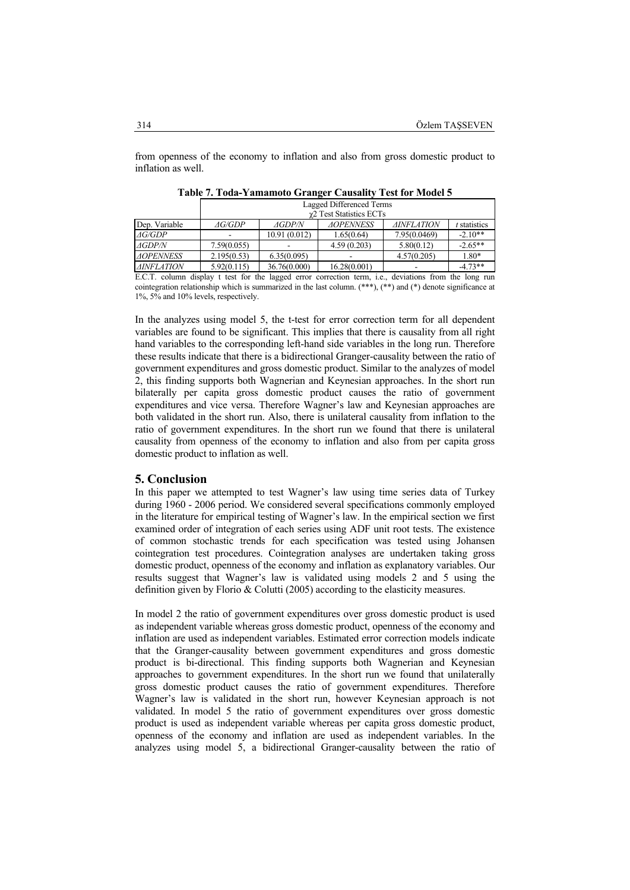from openness of the economy to inflation and also from gross domestic product to inflation as well.

|                          | Lagged Differenced Terms |               |                                                                                                                                                                                                                                |                        |                |  |
|--------------------------|--------------------------|---------------|--------------------------------------------------------------------------------------------------------------------------------------------------------------------------------------------------------------------------------|------------------------|----------------|--|
|                          | γ2 Test Statistics ECTs  |               |                                                                                                                                                                                                                                |                        |                |  |
| Dep. Variable            | AG/GDP                   | <i>AGDP/N</i> | <b>AOPENNESS</b>                                                                                                                                                                                                               | <b>AINFLATION</b>      | $t$ statistics |  |
| $\varDelta G/\!\!/GDP$   |                          | 10.91(0.012)  | 1.65(0.64)                                                                                                                                                                                                                     | 7.95(0.0469)           | $-2.10**$      |  |
| AGDP/N                   | 7.59(0.055)              |               | 4.59(0.203)                                                                                                                                                                                                                    | 5.80(0.12)             | $-2.65**$      |  |
| <b>AOPENNESS</b>         | 2.195(0.53)              | 6.35(0.095)   |                                                                                                                                                                                                                                | 4.57(0.205)            | 1.80*          |  |
| <i><b>AINFLATION</b></i> | 5.92(0.115)              | 36.76(0.000)  | 16.28(0.001)                                                                                                                                                                                                                   |                        | $-4.73**$      |  |
| $E \cap T$               | $\cdots$ $\cdots$        |               | and the contract of the contract of the contract of the contract of the contract of the contract of the contract of the contract of the contract of the contract of the contract of the contract of the contract of the contra | $\cdots$<br>$\epsilon$ | - 11           |  |

**Table 7. Toda-Yamamoto Granger Causality Test for Model 5** 

E.C.T. column display t test for the lagged error correction term, i.e., deviations from the long run cointegration relationship which is summarized in the last column.  $(***)$ ,  $(**)$  and  $(*)$  denote significance at 1%, 5% and 10% levels, respectively.

In the analyzes using model 5, the t-test for error correction term for all dependent variables are found to be significant. This implies that there is causality from all right hand variables to the corresponding left-hand side variables in the long run. Therefore these results indicate that there is a bidirectional Granger-causality between the ratio of government expenditures and gross domestic product. Similar to the analyzes of model 2, this finding supports both Wagnerian and Keynesian approaches. In the short run bilaterally per capita gross domestic product causes the ratio of government expenditures and vice versa. Therefore Wagner's law and Keynesian approaches are both validated in the short run. Also, there is unilateral causality from inflation to the ratio of government expenditures. In the short run we found that there is unilateral causality from openness of the economy to inflation and also from per capita gross domestic product to inflation as well.

### **5. Conclusion**

In this paper we attempted to test Wagner's law using time series data of Turkey during 1960 - 2006 period. We considered several specifications commonly employed in the literature for empirical testing of Wagner's law. In the empirical section we first examined order of integration of each series using ADF unit root tests. The existence of common stochastic trends for each specification was tested using Johansen cointegration test procedures. Cointegration analyses are undertaken taking gross domestic product, openness of the economy and inflation as explanatory variables. Our results suggest that Wagner's law is validated using models 2 and 5 using the definition given by Florio & Colutti (2005) according to the elasticity measures.

In model 2 the ratio of government expenditures over gross domestic product is used as independent variable whereas gross domestic product, openness of the economy and inflation are used as independent variables. Estimated error correction models indicate that the Granger-causality between government expenditures and gross domestic product is bi-directional. This finding supports both Wagnerian and Keynesian approaches to government expenditures. In the short run we found that unilaterally gross domestic product causes the ratio of government expenditures. Therefore Wagner's law is validated in the short run, however Keynesian approach is not validated. In model 5 the ratio of government expenditures over gross domestic product is used as independent variable whereas per capita gross domestic product, openness of the economy and inflation are used as independent variables. In the analyzes using model 5, a bidirectional Granger-causality between the ratio of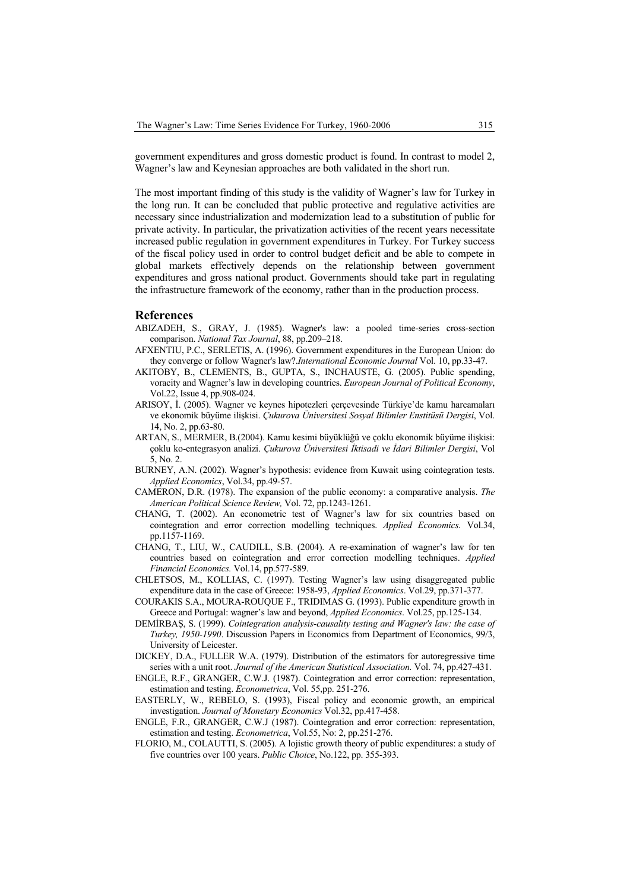government expenditures and gross domestic product is found. In contrast to model 2, Wagner's law and Keynesian approaches are both validated in the short run.

The most important finding of this study is the validity of Wagner's law for Turkey in the long run. It can be concluded that public protective and regulative activities are necessary since industrialization and modernization lead to a substitution of public for private activity. In particular, the privatization activities of the recent years necessitate increased public regulation in government expenditures in Turkey. For Turkey success of the fiscal policy used in order to control budget deficit and be able to compete in global markets effectively depends on the relationship between government expenditures and gross national product. Governments should take part in regulating the infrastructure framework of the economy, rather than in the production process.

#### **References**

- ABIZADEH, S., GRAY, J. (1985). Wagner's law: a pooled time-series cross-section comparison. *National Tax Journal*, 88, pp.209–218.
- AFXENTIU, P.C., SERLETIS, A. (1996). Government expenditures in the European Union: do they converge or follow Wagner's law?.*International Economic Journal* Vol. 10, pp.33-47.
- AKITOBY, B., CLEMENTS, B., GUPTA, S., INCHAUSTE, G. (2005). Public spending, voracity and Wagner's law in developing countries. *European Journal of Political Economy*, Vol.22, Issue 4, pp.908-024.
- ARISOY, İ. (2005). Wagner ve keynes hipotezleri çerçevesinde Türkiye'de kamu harcamaları ve ekonomik büyüme ilişkisi. *Çukurova Üniversitesi Sosyal Bilimler Enstitüsü Dergisi*, Vol. 14, No. 2, pp.63-80.
- ARTAN, S., MERMER, B.(2004). Kamu kesimi büyüklüğü ve çoklu ekonomik büyüme ilişkisi: çoklu ko-entegrasyon analizi. *Çukurova Üniversitesi İktisadi ve İdari Bilimler Dergisi*, Vol 5, No. 2.
- BURNEY, A.N. (2002). Wagner's hypothesis: evidence from Kuwait using cointegration tests. *Applied Economics*, Vol.34, pp.49-57.
- CAMERON, D.R. (1978). The expansion of the public economy: a comparative analysis. *The American Political Science Review,* Vol. 72, pp.1243-1261.
- CHANG, T. (2002). An econometric test of Wagner's law for six countries based on cointegration and error correction modelling techniques. *Applied Economics.* Vol.34, pp.1157-1169.
- CHANG, T., LIU, W., CAUDILL, S.B. (2004). A re-examination of wagner's law for ten countries based on cointegration and error correction modelling techniques. *Applied Financial Economics.* Vol.14, pp.577-589.
- CHLETSOS, M., KOLLIAS, C. (1997). Testing Wagner's law using disaggregated public expenditure data in the case of Greece: 1958-93, *Applied Economics*. Vol.29, pp.371-377.
- COURAKIS S.A., MOURA-ROUQUE F., TRIDIMAS G. (1993). Public expenditure growth in Greece and Portugal: wagner's law and beyond, *Applied Economics*. Vol.25, pp.125-134.
- DEMİRBAŞ, S. (1999). *Cointegration analysis-causality testing and Wagner's law: the case of Turkey, 1950-1990*. Discussion Papers in Economics from Department of Economics, 99/3, University of Leicester.
- DICKEY, D.A., FULLER W.A. (1979). Distribution of the estimators for autoregressive time series with a unit root. *Journal of the American Statistical Association.* Vol. 74, pp.427-431.
- ENGLE, R.F., GRANGER, C.W.J. (1987). Cointegration and error correction: representation, estimation and testing. *Econometrica*, Vol. 55,pp. 251-276.
- EASTERLY, W., REBELO, S. (1993), Fiscal policy and economic growth, an empirical investigation. *Journal of Monetary Economics* Vol.32, pp.417-458.
- ENGLE, F.R., GRANGER, C.W.J (1987). Cointegration and error correction: representation, estimation and testing. *Econometrica*, Vol.55, No: 2, pp.251-276.
- FLORIO, M., COLAUTTI, S. (2005). A lojistic growth theory of public expenditures: a study of five countries over 100 years. *Public Choice*, No.122, pp. 355-393.